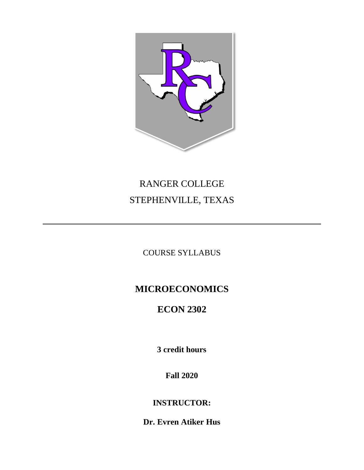

# RANGER COLLEGE STEPHENVILLE, TEXAS

COURSE SYLLABUS

# **MICROECONOMICS**

# **ECON 2302**

**3 credit hours**

**Fall 2020**

**INSTRUCTOR:**

**Dr. Evren Atiker Hus**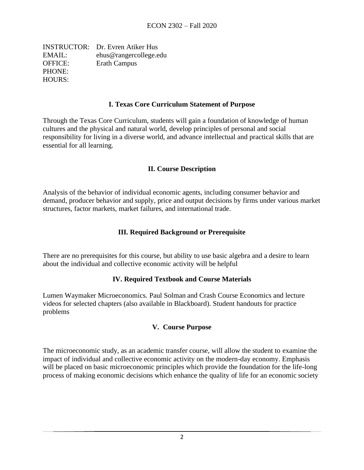INSTRUCTOR: Dr. Evren Atiker Hus EMAIL: ehus@rangercollege.edu OFFICE: Erath Campus PHONE: HOURS:

#### **I. Texas Core Curriculum Statement of Purpose**

Through the Texas Core Curriculum, students will gain a foundation of knowledge of human cultures and the physical and natural world, develop principles of personal and social responsibility for living in a diverse world, and advance intellectual and practical skills that are essential for all learning.

#### **II. Course Description**

Analysis of the behavior of individual economic agents, including consumer behavior and demand, producer behavior and supply, price and output decisions by firms under various market structures, factor markets, market failures, and international trade.

### **III. Required Background or Prerequisite**

There are no prerequisites for this course, but ability to use basic algebra and a desire to learn about the individual and collective economic activity will be helpful

#### **IV. Required Textbook and Course Materials**

Lumen Waymaker Microeconomics. Paul Solman and Crash Course Economics and lecture videos for selected chapters (also available in Blackboard). Student handouts for practice problems

#### **V. Course Purpose**

The microeconomic study, as an academic transfer course, will allow the student to examine the impact of individual and collective economic activity on the modern-day economy. Emphasis will be placed on basic microeconomic principles which provide the foundation for the life-long process of making economic decisions which enhance the quality of life for an economic society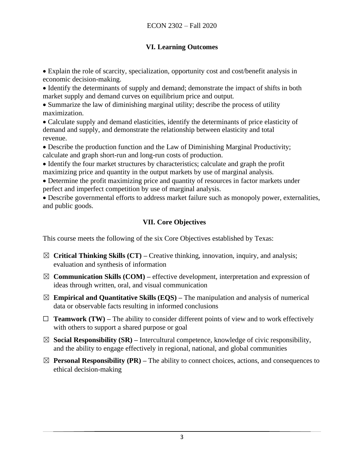# **VI. Learning Outcomes**

• Explain the role of scarcity, specialization, opportunity cost and cost/benefit analysis in economic decision-making.

• Identify the determinants of supply and demand; demonstrate the impact of shifts in both market supply and demand curves on equilibrium price and output.

• Summarize the law of diminishing marginal utility; describe the process of utility maximization.

• Calculate supply and demand elasticities, identify the determinants of price elasticity of demand and supply, and demonstrate the relationship between elasticity and total revenue.

• Describe the production function and the Law of Diminishing Marginal Productivity; calculate and graph short-run and long-run costs of production.

• Identify the four market structures by characteristics; calculate and graph the profit maximizing price and quantity in the output markets by use of marginal analysis.

• Determine the profit maximizing price and quantity of resources in factor markets under perfect and imperfect competition by use of marginal analysis.

• Describe governmental efforts to address market failure such as monopoly power, externalities, and public goods.

# **VII. Core Objectives**

This course meets the following of the six Core Objectives established by Texas:

- ☒ **Critical Thinking Skills (CT) –** Creative thinking, innovation, inquiry, and analysis; evaluation and synthesis of information
- $\boxtimes$  **Communication Skills (COM)** effective development, interpretation and expression of ideas through written, oral, and visual communication
- $\boxtimes$  **Empirical and Quantitative Skills (EQS)** The manipulation and analysis of numerical data or observable facts resulting in informed conclusions
- $\Box$  **Teamwork (TW)** The ability to consider different points of view and to work effectively with others to support a shared purpose or goal
- $\boxtimes$  **Social Responsibility (SR)** Intercultural competence, knowledge of civic responsibility, and the ability to engage effectively in regional, national, and global communities
- $\boxtimes$  **Personal Responsibility (PR)** The ability to connect choices, actions, and consequences to ethical decision-making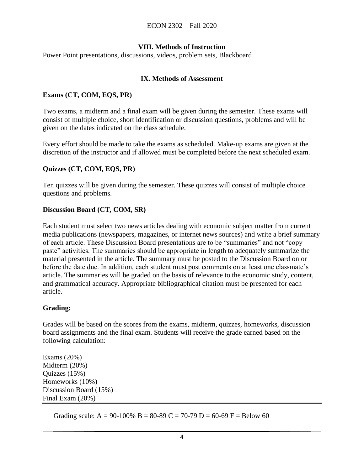### **VIII. Methods of Instruction**

Power Point presentations, discussions, videos, problem sets, Blackboard

#### **IX. Methods of Assessment**

#### **Exams (CT, COM, EQS, PR)**

Two exams, a midterm and a final exam will be given during the semester. These exams will consist of multiple choice, short identification or discussion questions, problems and will be given on the dates indicated on the class schedule.

Every effort should be made to take the exams as scheduled. Make-up exams are given at the discretion of the instructor and if allowed must be completed before the next scheduled exam.

#### **Quizzes (CT, COM, EQS, PR)**

Ten quizzes will be given during the semester. These quizzes will consist of multiple choice questions and problems.

#### **Discussion Board (CT, COM, SR)**

Each student must select two news articles dealing with economic subject matter from current media publications (newspapers, magazines, or internet news sources) and write a brief summary of each article. These Discussion Board presentations are to be "summaries" and not "copy – paste" activities. The summaries should be appropriate in length to adequately summarize the material presented in the article. The summary must be posted to the Discussion Board on or before the date due. In addition, each student must post comments on at least one classmate's article. The summaries will be graded on the basis of relevance to the economic study, content, and grammatical accuracy. Appropriate bibliographical citation must be presented for each article.

#### **Grading:**

Grades will be based on the scores from the exams, midterm, quizzes, homeworks, discussion board assignments and the final exam. Students will receive the grade earned based on the following calculation:

Exams (20%) Midterm (20%) Quizzes (15%) Homeworks (10%) Discussion Board (15%) Final Exam (20%)

Grading scale: A = 90-100% B = 80-89 C = 70-79 D = 60-69 F = Below 60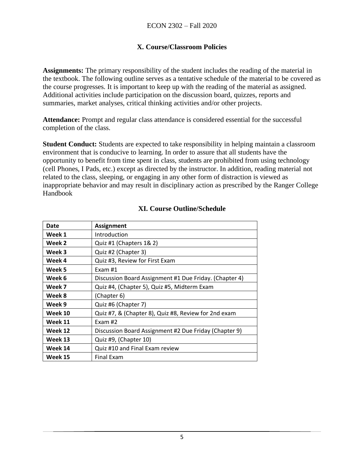## **X. Course/Classroom Policies**

**Assignments:** The primary responsibility of the student includes the reading of the material in the textbook. The following outline serves as a tentative schedule of the material to be covered as the course progresses. It is important to keep up with the reading of the material as assigned. Additional activities include participation on the discussion board, quizzes, reports and summaries, market analyses, critical thinking activities and/or other projects.

**Attendance:** Prompt and regular class attendance is considered essential for the successful completion of the class.

**Student Conduct:** Students are expected to take responsibility in helping maintain a classroom environment that is conducive to learning. In order to assure that all students have the opportunity to benefit from time spent in class, students are prohibited from using technology (cell Phones, I Pads, etc.) except as directed by the instructor. In addition, reading material not related to the class, sleeping, or engaging in any other form of distraction is viewed as inappropriate behavior and may result in disciplinary action as prescribed by the Ranger College Handbook

| Date    | <b>Assignment</b>                                      |
|---------|--------------------------------------------------------|
| Week 1  | Introduction                                           |
| Week 2  | Quiz #1 (Chapters 1& 2)                                |
| Week 3  | Quiz #2 (Chapter 3)                                    |
| Week 4  | Quiz #3, Review for First Exam                         |
| Week 5  | Exam $#1$                                              |
| Week 6  | Discussion Board Assignment #1 Due Friday. (Chapter 4) |
| Week 7  | Quiz #4, (Chapter 5), Quiz #5, Midterm Exam            |
| Week 8  | (Chapter 6)                                            |
| Week 9  | Quiz #6 (Chapter 7)                                    |
| Week 10 | Quiz #7, & (Chapter 8), Quiz #8, Review for 2nd exam   |
| Week 11 | Exam $#2$                                              |
| Week 12 | Discussion Board Assignment #2 Due Friday (Chapter 9)  |
| Week 13 | Quiz #9, (Chapter 10)                                  |
| Week 14 | Quiz #10 and Final Exam review                         |
| Week 15 | <b>Final Exam</b>                                      |

# **XI. Course Outline/Schedule**